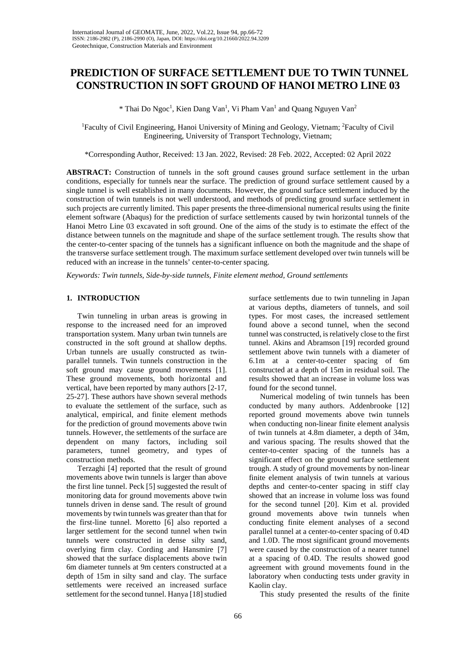# **PREDICTION OF SURFACE SETTLEMENT DUE TO TWIN TUNNEL CONSTRUCTION IN SOFT GROUND OF HANOI METRO LINE 03**

\* Thai Do Ngoc<sup>1</sup>, Kien Dang Van<sup>1</sup>, Vi Pham Van<sup>1</sup> and Quang Nguyen Van<sup>2</sup>

<sup>1</sup>Faculty of Civil Engineering, Hanoi University of Mining and Geology, Vietnam; <sup>2</sup>Faculty of Civil Engineering, University of Transport Technology, Vietnam;

\*Corresponding Author, Received: 13 Jan. 2022, Revised: 28 Feb. 2022, Accepted: 02 April 2022

**ABSTRACT:** Construction of tunnels in the soft ground causes ground surface settlement in the urban conditions, especially for tunnels near the surface. The prediction of ground surface settlement caused by a single tunnel is well established in many documents. However, the ground surface settlement induced by the construction of twin tunnels is not well understood, and methods of predicting ground surface settlement in such projects are currently limited. This paper presents the three-dimensional numerical results using the finite element software (Abaqus) for the prediction of surface settlements caused by twin horizontal tunnels of the Hanoi Metro Line 03 excavated in soft ground. One of the aims of the study is to estimate the effect of the distance between tunnels on the magnitude and shape of the surface settlement trough. The results show that the center-to-center spacing of the tunnels has a significant influence on both the magnitude and the shape of the transverse surface settlement trough. The maximum surface settlement developed over twin tunnels will be reduced with an increase in the tunnels' center-to-center spacing.

*Keywords: Twin tunnels, Side-by-side tunnels, Finite element method, Ground settlements* 

## **1. INTRODUCTION**

Twin tunneling in urban areas is growing in response to the increased need for an improved transportation system. Many urban twin tunnels are constructed in the soft ground at shallow depths. Urban tunnels are usually constructed as twinparallel tunnels. Twin tunnels construction in the soft ground may cause ground movements [1]. These ground movements, both horizontal and vertical, have been reported by many authors [2-17, 25-27]. These authors have shown several methods to evaluate the settlement of the surface, such as analytical, empirical, and finite element methods for the prediction of ground movements above twin tunnels. However, the settlements of the surface are dependent on many factors, including soil parameters, tunnel geometry, and types of construction methods.

Terzaghi [4] reported that the result of ground movements above twin tunnels is larger than above the first line tunnel. Peck [5] suggested the result of monitoring data for ground movements above twin tunnels driven in dense sand. The result of ground movements by twin tunnels was greater than that for the first-line tunnel. Moretto [6] also reported a larger settlement for the second tunnel when twin tunnels were constructed in dense silty sand, overlying firm clay. Cording and Hansmire [7] showed that the surface displacements above twin 6m diameter tunnels at 9m centers constructed at a depth of 15m in silty sand and clay. The surface settlements were received an increased surface settlement for the second tunnel. Hanya [18] studied

surface settlements due to twin tunneling in Japan at various depths, diameters of tunnels, and soil types. For most cases, the increased settlement found above a second tunnel, when the second tunnel was constructed, is relatively close to the first tunnel. Akins and Abramson [19] recorded ground settlement above twin tunnels with a diameter of 6.1m at a center-to-center spacing of 6m constructed at a depth of 15m in residual soil. The results showed that an increase in volume loss was found for the second tunnel.

Numerical modeling of twin tunnels has been conducted by many authors. Addenbrooke [12] reported ground movements above twin tunnels when conducting non-linear finite element analysis of twin tunnels at 4.8m diameter, a depth of 34m, and various spacing. The results showed that the center-to-center spacing of the tunnels has a significant effect on the ground surface settlement trough. A study of ground movements by non-linear finite element analysis of twin tunnels at various depths and center-to-center spacing in stiff clay showed that an increase in volume loss was found for the second tunnel [20]. Kim et al. provided ground movements above twin tunnels when conducting finite element analyses of a second parallel tunnel at a center-to-center spacing of 0.4D and 1.0D. The most significant ground movements were caused by the construction of a nearer tunnel at a spacing of 0.4D. The results showed good agreement with ground movements found in the laboratory when conducting tests under gravity in Kaolin clay.

This study presented the results of the finite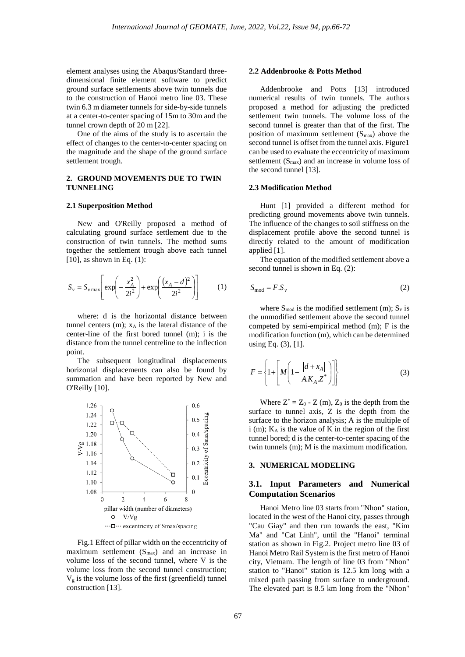element analyses using the Abaqus/Standard threedimensional finite element software to predict ground surface settlements above twin tunnels due to the construction of Hanoi metro line 03. These twin 6.3 m diameter tunnels for side-by-side tunnels at a center-to-center spacing of 15m to 30m and the tunnel crown depth of 20 m [22].

One of the aims of the study is to ascertain the effect of changes to the center-to-center spacing on the magnitude and the shape of the ground surface settlement trough.

## **2. GROUND MOVEMENTS DUE TO TWIN TUNNELING**

### **2.1 Superposition Method**

New and O'Reilly proposed a method of calculating ground surface settlement due to the construction of twin tunnels. The method sums together the settlement trough above each tunnel [10], as shown in Eq. (1):

$$
S_v = S_{v \max} \left[ \exp\left(-\frac{x_A^2}{2i^2}\right) + \exp\left(\frac{(x_A - d)^2}{2i^2}\right) \right] \tag{1}
$$

where: d is the horizontal distance between tunnel centers  $(m)$ ;  $x_A$  is the lateral distance of the center-line of the first bored tunnel (m); i is the distance from the tunnel centreline to the inflection point.

The subsequent longitudinal displacements horizontal displacements can also be found by summation and have been reported by New and O'Reilly [10].



Fig.1 Effect of pillar width on the eccentricity of maximum settlement  $(S_{max})$  and an increase in volume loss of the second tunnel, where V is the volume loss from the second tunnel construction;  $V<sub>g</sub>$  is the volume loss of the first (greenfield) tunnel construction [13].

### **2.2 Addenbrooke & Potts Method**

Addenbrooke and Potts [13] introduced numerical results of twin tunnels. The authors proposed a method for adjusting the predicted settlement twin tunnels. The volume loss of the second tunnel is greater than that of the first. The position of maximum settlement  $(S_{\text{max}})$  above the second tunnel is offset from the tunnel axis. Figure1 can be used to evaluate the eccentricity of maximum settlement (Smax) and an increase in volume loss of the second tunnel [13].

### **2.3 Modification Method**

Hunt [1] provided a different method for predicting ground movements above twin tunnels. The influence of the changes to soil stiffness on the displacement profile above the second tunnel is directly related to the amount of modification applied [1].

The equation of the modified settlement above a second tunnel is shown in Eq. (2):

$$
S_{\text{mod}} = F.S_v \tag{2}
$$

where  $S_{mod}$  is the modified settlement (m);  $S_v$  is the unmodified settlement above the second tunnel competed by semi-empirical method (m); F is the modification function (m), which can be determined using Eq. (3), [1].

$$
F = \left\{ 1 + \left[ M \left( 1 - \frac{|d + x_A|}{A.K_A Z^*} \right) \right] \right\}
$$
 (3)

Where  $Z^* = Z_0 - Z(m)$ ,  $Z_0$  is the depth from the surface to tunnel axis, Z is the depth from the surface to the horizon analysis; A is the multiple of i (m); KA is the value of K in the region of the first tunnel bored; d is the center-to-center spacing of the twin tunnels (m); M is the maximum modification.

# **3. NUMERICAL MODELING**

# **3.1. Input Parameters and Numerical Computation Scenarios**

Hanoi Metro line 03 starts from "Nhon" station, located in the west of the Hanoi city, passes through "Cau Giay" and then run towards the east, "Kim Ma" and "Cat Linh", until the "Hanoi" terminal station as shown in Fig.2. Project metro line 03 of Hanoi Metro Rail System is the first metro of Hanoi city, Vietnam. The length of line 03 from "Nhon" station to "Hanoi" station is 12.5 km long with a mixed path passing from surface to underground. The elevated part is 8.5 km long from the "Nhon"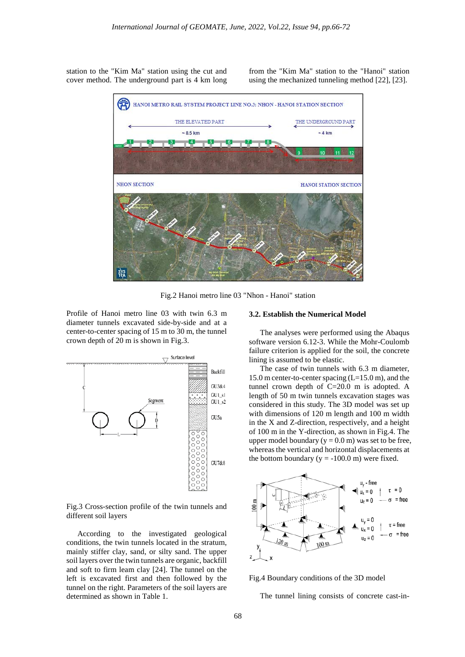station to the "Kim Ma" station using the cut and cover method. The underground part is 4 km long

from the "Kim Ma" station to the "Hanoi" station using the mechanized tunneling method [22], [23].



Fig.2 Hanoi metro line 03 "Nhon - Hanoi" station

Profile of Hanoi metro line 03 with twin 6.3 m diameter tunnels excavated side-by-side and at a center-to-center spacing of 15 m to 30 m, the tunnel crown depth of 20 m is shown in Fig.3.



Fig.3 Cross-section profile of the twin tunnels and different soil layers

According to the investigated geological conditions, the twin tunnels located in the stratum, mainly stiffer clay, sand, or silty sand. The upper soil layers over the twin tunnels are organic, backfill and soft to firm leam clay [24]. The tunnel on the left is excavated first and then followed by the tunnel on the right. Parameters of the soil layers are determined as shown in Table 1.

### **3.2. Establish the Numerical Model**

The analyses were performed using the Abaqus software version 6.12-3. While the Mohr-Coulomb failure criterion is applied for the soil, the concrete lining is assumed to be elastic.

The case of twin tunnels with 6.3 m diameter, 15.0 m center-to-center spacing (L=15.0 m), and the tunnel crown depth of C=20.0 m is adopted. A length of 50 m twin tunnels excavation stages was considered in this study. The 3D model was set up with dimensions of 120 m length and 100 m width in the X and Z-direction, respectively, and a height of 100 m in the Y-direction, as shown in Fig.4. The upper model boundary ( $y = 0.0$  m) was set to be free, whereas the vertical and horizontal displacements at the bottom boundary  $(y = -100.0 \text{ m})$  were fixed.



Fig.4 Boundary conditions of the 3D model

The tunnel lining consists of concrete cast-in-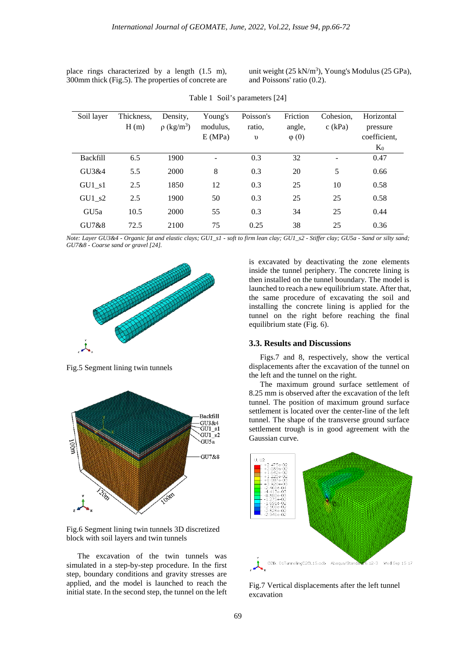|  | place rings characterized by a length $(1.5 \text{ m})$ , |  |  |  |
|--|-----------------------------------------------------------|--|--|--|
|  | 300mm thick (Fig.5). The properties of concrete are       |  |  |  |

unit weight  $(25 \text{ kN/m}^3)$ , Young's Modulus  $(25 \text{ GPa})$ , and Poissons' ratio (0.2).

| Soil layer       | Thickness,<br>H(m) | Density.<br>$\rho$ (kg/m <sup>3</sup> ) | Young's<br>modulus,<br>E(MPa) | Poisson's<br>ratio,<br>$\upsilon$ | Friction<br>angle,<br>$\varphi(0)$ | Cohesion.<br>$c$ (kPa) | Horizontal<br>pressure<br>coefficient, |
|------------------|--------------------|-----------------------------------------|-------------------------------|-----------------------------------|------------------------------------|------------------------|----------------------------------------|
|                  |                    |                                         |                               |                                   |                                    |                        | $K_0$                                  |
| <b>Backfill</b>  | 6.5                | 1900                                    |                               | 0.3                               | 32                                 | $\qquad \qquad -$      | 0.47                                   |
| GU3&4            | 5.5                | 2000                                    | 8                             | 0.3                               | 20                                 | 5                      | 0.66                                   |
| $GU1_s1$         | 2.5                | 1850                                    | 12                            | 0.3                               | 25                                 | 10                     | 0.58                                   |
| $GU1_s2$         | 2.5                | 1900                                    | 50                            | 0.3                               | 25                                 | 25                     | 0.58                                   |
| GU <sub>5a</sub> | 10.5               | 2000                                    | 55                            | 0.3                               | 34                                 | 25                     | 0.44                                   |
| GU7&8            | 72.5               | 2100                                    | 75                            | 0.25                              | 38                                 | 25                     | 0.36                                   |

Table 1 Soil's parameters [24]

*Note: Layer GU3&4 - Organic fat and elastic clays; GU1\_s1 - soft to firm lean clay; GU1\_s2 - Stiffer clay; GU5a - Sand or silty sand; GU7&8 - Coarse sand or gravel [24].*



Fig.5 Segment lining twin tunnels



Fig.6 Segment lining twin tunnels 3D discretized block with soil layers and twin tunnels

The excavation of the twin tunnels was simulated in a step-by-step procedure. In the first step, boundary conditions and gravity stresses are applied, and the model is launched to reach the initial state. In the second step, the tunnel on the left is excavated by deactivating the zone elements inside the tunnel periphery. The concrete lining is then installed on the tunnel boundary. The model is launched to reach a new equilibrium state. After that, the same procedure of excavating the soil and installing the concrete lining is applied for the tunnel on the right before reaching the final equilibrium state (Fig. 6).

### **3.3. Results and Discussions**

Figs.7 and 8, respectively, show the vertical displacements after the excavation of the tunnel on the left and the tunnel on the right.

The maximum ground surface settlement of 8.25 mm is observed after the excavation of the left tunnel. The position of maximum ground surface settlement is located over the center-line of the left tunnel. The shape of the transverse ground surface settlement trough is in good agreement with the Gaussian curve.



Fig.7 Vertical displacements after the left tunnel excavation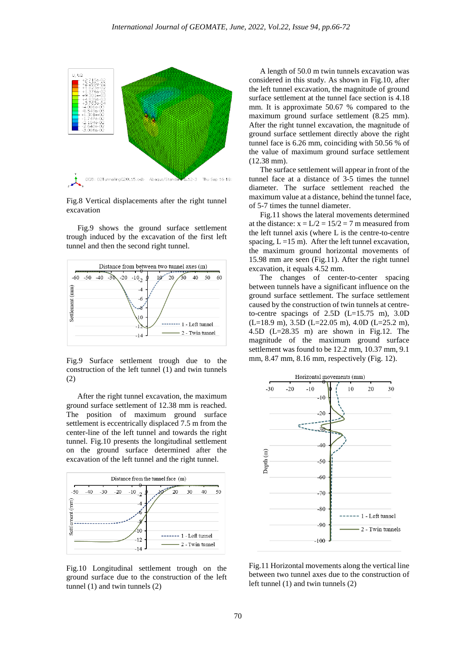

Fig.8 Vertical displacements after the right tunnel excavation

Fig.9 shows the ground surface settlement trough induced by the excavation of the first left tunnel and then the second right tunnel.



Fig.9 Surface settlement trough due to the construction of the left tunnel (1) and twin tunnels (2)

After the right tunnel excavation, the maximum ground surface settlement of 12.38 mm is reached. The position of maximum ground surface settlement is eccentrically displaced 7.5 m from the center-line of the left tunnel and towards the right tunnel. Fig.10 presents the longitudinal settlement on the ground surface determined after the excavation of the left tunnel and the right tunnel.



Fig.10 Longitudinal settlement trough on the ground surface due to the construction of the left tunnel (1) and twin tunnels (2)

A length of 50.0 m twin tunnels excavation was considered in this study. As shown in Fig.10, after the left tunnel excavation, the magnitude of ground surface settlement at the tunnel face section is 4.18 mm. It is approximate 50.67 % compared to the maximum ground surface settlement (8.25 mm). After the right tunnel excavation, the magnitude of ground surface settlement directly above the right tunnel face is 6.26 mm, coinciding with 50.56 % of the value of maximum ground surface settlement (12.38 mm).

The surface settlement will appear in front of the tunnel face at a distance of 3-5 times the tunnel diameter. The surface settlement reached the maximum value at a distance, behind the tunnel face, of 5-7 times the tunnel diameter.

Fig.11 shows the lateral movements determined at the distance:  $x = L/2 = 15/2 = 7$  m measured from the left tunnel axis (where L is the centre-to-centre spacing,  $L = 15$  m). After the left tunnel excavation, the maximum ground horizontal movements of 15.98 mm are seen (Fig.11). After the right tunnel excavation, it equals 4.52 mm.

The changes of center-to-center spacing between tunnels have a significant influence on the ground surface settlement. The surface settlement caused by the construction of twin tunnels at centreto-centre spacings of 2.5D (L=15.75 m), 3.0D (L=18.9 m), 3.5D (L=22.05 m), 4.0D (L=25.2 m), 4.5D (L=28.35 m) are shown in Fig.12. The magnitude of the maximum ground surface settlement was found to be 12.2 mm, 10.37 mm, 9.1 mm, 8.47 mm, 8.16 mm, respectively (Fig. 12).



Fig.11 Horizontal movements along the vertical line between two tunnel axes due to the construction of left tunnel (1) and twin tunnels (2)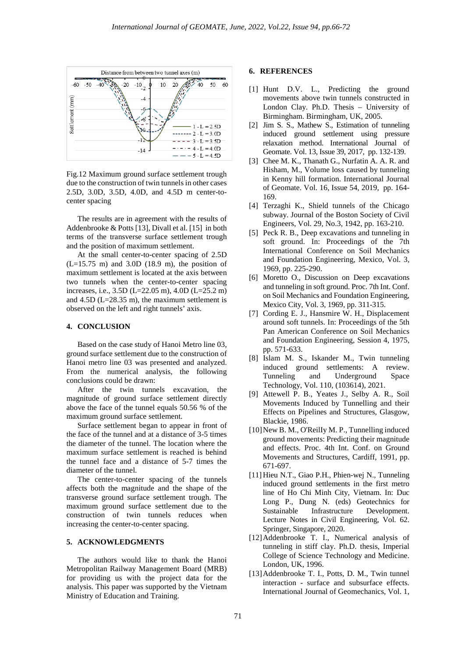

Fig.12 Maximum ground surface settlement trough due to the construction of twin tunnels in other cases 2.5D, 3.0D, 3.5D, 4.0D, and 4.5D m center-tocenter spacing

The results are in agreement with the results of Addenbrooke & Potts [13], Divall et al. [15] in both terms of the transverse surface settlement trough and the position of maximum settlement.

At the small center-to-center spacing of 2.5D  $(L=15.75 \text{ m})$  and 3.0D (18.9 m), the position of maximum settlement is located at the axis between two tunnels when the center-to-center spacing increases, i.e., 3.5D (L=22.05 m), 4.0D (L=25.2 m) and 4.5D (L=28.35 m), the maximum settlement is observed on the left and right tunnels' axis.

### **4. CONCLUSION**

Based on the case study of Hanoi Metro line 03, ground surface settlement due to the construction of Hanoi metro line 03 was presented and analyzed. From the numerical analysis, the following conclusions could be drawn:

After the twin tunnels excavation, the magnitude of ground surface settlement directly above the face of the tunnel equals 50.56 % of the maximum ground surface settlement.

Surface settlement began to appear in front of the face of the tunnel and at a distance of 3-5 times the diameter of the tunnel. The location where the maximum surface settlement is reached is behind the tunnel face and a distance of 5-7 times the diameter of the tunnel.

The center-to-center spacing of the tunnels affects both the magnitude and the shape of the transverse ground surface settlement trough. The maximum ground surface settlement due to the construction of twin tunnels reduces when increasing the center-to-center spacing.

# **5. ACKNOWLEDGMENTS**

The authors would like to thank the Hanoi Metropolitan Railway Management Board (MRB) for providing us with the project data for the analysis. This paper was supported by the Vietnam Ministry of Education and Training.

### **6. REFERENCES**

- [1] Hunt D.V. L., Predicting the ground movements above twin tunnels constructed in London Clay. Ph.D. Thesis – University of Birmingham. Birmingham, UK, 2005.
- [2] Jim S. S., Mathew S., Estimation of tunneling induced ground settlement using pressure relaxation method. International Journal of Geomate. Vol. 13, Issue 39, 2017, pp. 132-139.
- [3] Chee M. K., Thanath G., Nurfatin A. A. R. and Hisham, M., Volume loss caused by tunneling in Kenny hill formation. International Journal of Geomate. Vol. 16, Issue 54, 2019, pp. 164- 169.
- [4] Terzaghi K., Shield tunnels of the Chicago subway. Journal of the Boston Society of Civil Engineers, Vol. 29, No.3, 1942, pp. 163-210.
- [5] Peck R. B., Deep excavations and tunneling in soft ground. In: Proceedings of the 7th International Conference on Soil Mechanics and Foundation Engineering, Mexico, Vol. 3, 1969, pp. 225-290.
- [6] Moretto O., Discussion on Deep excavations and tunneling in soft ground. Proc. 7th Int. Conf. on Soil Mechanics and Foundation Engineering, Mexico City, Vol. 3, 1969, pp. 311-315.
- [7] Cording E. J., Hansmire W. H., Displacement around soft tunnels. In: Proceedings of the 5th Pan American Conference on Soil Mechanics and Foundation Engineering, Session 4, 1975, pp. 571-633.
- [8] Islam M. S., Iskander M., Twin tunneling induced ground settlements: A review. Tunneling and Underground Space Technology, Vol. 110, (103614), 2021.
- [9] Attewell P. B., Yeates J., Selby A. R., Soil Movements Induced by Tunnelling and their Effects on Pipelines and Structures, Glasgow, Blackie, 1986.
- [10]New B. M., O'ReilIy M. P., Tunnelling induced ground movements: Predicting their magnitude and effects. Proc. 4th Int. Conf. on Ground Movements and Structures, Cardiff, 1991, pp. 671-697.
- [11] Hieu N.T., Giao P.H., Phien-wej N., Tunneling induced ground settlements in the first metro line of Ho Chi Minh City, Vietnam. In: Duc Long P., Dung N. (eds) Geotechnics for Sustainable Infrastructure Development. Lecture Notes in Civil Engineering, Vol. 62. Springer, Singapore, 2020.
- [12]Addenbrooke T. I., Numerical analysis of tunneling in stiff clay. Ph.D. thesis, Imperial College of Science Technology and Medicine. London, UK, 1996.
- [13] Addenbrooke T. I., Potts, D. M., Twin tunnel interaction - surface and subsurface effects. International Journal of Geomechanics, Vol. 1,